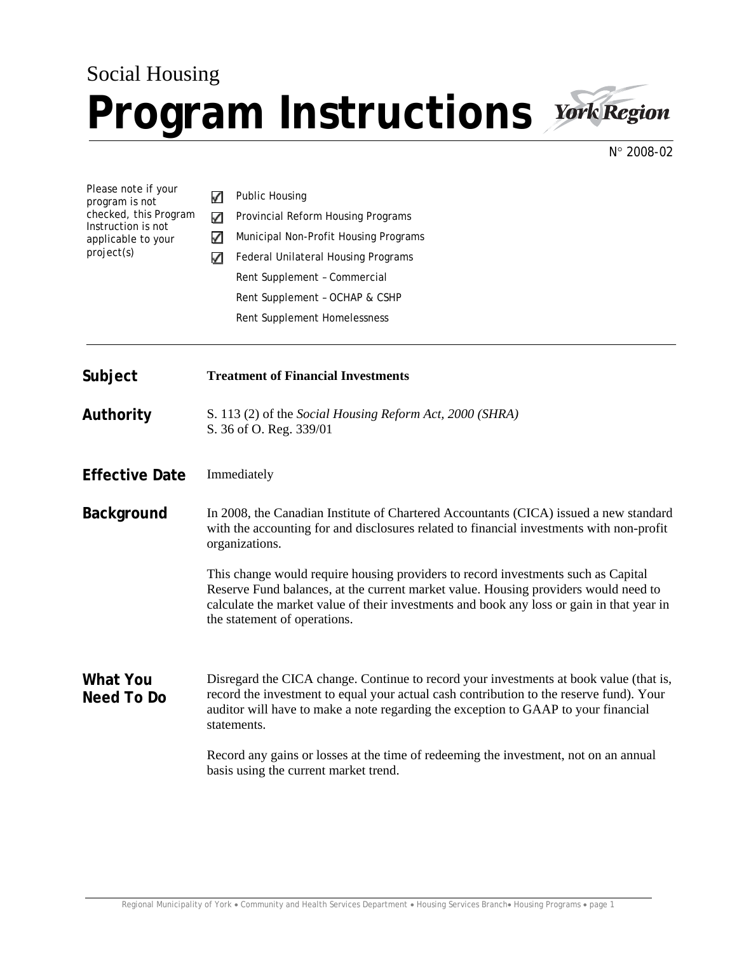## Social Housing **Program Instructions**



N° 2008-02

Please note if your ✓ Public Housing program is not checked, this Program  $\checkmark$ Provincial Reform Housing Programs Instruction is not  $\checkmark$ Municipal Non-Profit Housing Programs applicable to your project(s) **7** Federal Unilateral Housing Programs Rent Supplement – Commercial Rent Supplement – OCHAP & CSHP Rent Supplement Homelessness **Subject Treatment of Financial Investments Authority** S. 113 (2) of the *Social Housing Reform Act, 2000 (SHRA)*  S. 36 of O. Reg. 339/01 **Effective Date** Immediately **Background** In 2008, the Canadian Institute of Chartered Accountants (CICA) issued a new standard with the accounting for and disclosures related to financial investments with non-profit organizations. This change would require housing providers to record investments such as Capital Reserve Fund balances, at the current market value. Housing providers would need to calculate the market value of their investments and book any loss or gain in that year in the statement of operations. **What You**  Disregard the CICA change. Continue to record your investments at book value (that is, record the investment to equal your actual cash contribution to the reserve fund). Your **Need To Do**  auditor will have to make a note regarding the exception to GAAP to your financial statements. Record any gains or losses at the time of redeeming the investment, not on an annual basis using the current market trend.